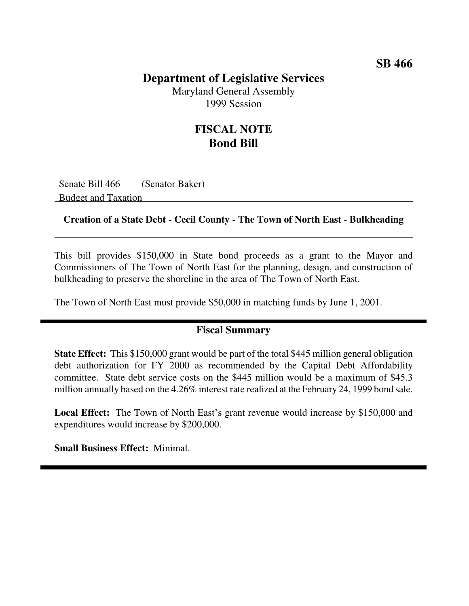## **Department of Legislative Services**

Maryland General Assembly 1999 Session

## **FISCAL NOTE Bond Bill**

Senate Bill 466 (Senator Baker) Budget and Taxation

#### **Creation of a State Debt - Cecil County - The Town of North East - Bulkheading**

This bill provides \$150,000 in State bond proceeds as a grant to the Mayor and Commissioners of The Town of North East for the planning, design, and construction of bulkheading to preserve the shoreline in the area of The Town of North East.

The Town of North East must provide \$50,000 in matching funds by June 1, 2001.

### **Fiscal Summary**

**State Effect:** This \$150,000 grant would be part of the total \$445 million general obligation debt authorization for FY 2000 as recommended by the Capital Debt Affordability committee. State debt service costs on the \$445 million would be a maximum of \$45.3 million annually based on the 4.26% interest rate realized at the February 24, 1999 bond sale.

**Local Effect:** The Town of North East's grant revenue would increase by \$150,000 and expenditures would increase by \$200,000.

**Small Business Effect:** Minimal.